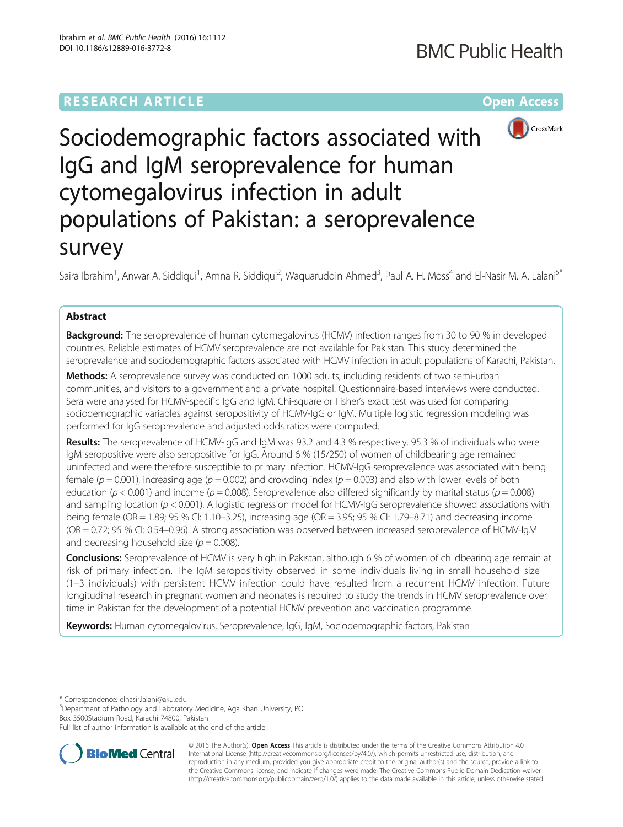

# Sociodemographic factors associated with IgG and IgM seroprevalence for human cytomegalovirus infection in adult populations of Pakistan: a seroprevalence survey

Saira Ibrahim<sup>1</sup>, Anwar A. Siddiqui<sup>1</sup>, Amna R. Siddiqui<sup>2</sup>, Waquaruddin Ahmed<sup>3</sup>, Paul A. H. Moss<sup>4</sup> and El-Nasir M. A. Lalani<sup>5\*</sup>

# Abstract

Background: The seroprevalence of human cytomegalovirus (HCMV) infection ranges from 30 to 90 % in developed countries. Reliable estimates of HCMV seroprevalence are not available for Pakistan. This study determined the seroprevalence and sociodemographic factors associated with HCMV infection in adult populations of Karachi, Pakistan.

Methods: A seroprevalence survey was conducted on 1000 adults, including residents of two semi-urban communities, and visitors to a government and a private hospital. Questionnaire-based interviews were conducted. Sera were analysed for HCMV-specific IgG and IgM. Chi-square or Fisher's exact test was used for comparing sociodemographic variables against seropositivity of HCMV-IgG or IgM. Multiple logistic regression modeling was performed for IgG seroprevalence and adjusted odds ratios were computed.

Results: The seroprevalence of HCMV-IgG and IgM was 93.2 and 4.3 % respectively. 95.3 % of individuals who were IgM seropositive were also seropositive for IgG. Around 6 % (15/250) of women of childbearing age remained uninfected and were therefore susceptible to primary infection. HCMV-IgG seroprevalence was associated with being female ( $p = 0.001$ ), increasing age ( $p = 0.002$ ) and crowding index ( $p = 0.003$ ) and also with lower levels of both education ( $p < 0.001$ ) and income ( $p = 0.008$ ). Seroprevalence also differed significantly by marital status ( $p = 0.008$ ) and sampling location ( $p < 0.001$ ). A logistic regression model for HCMV-IgG seroprevalence showed associations with being female (OR = 1.89; 95 % CI: 1.10–3.25), increasing age (OR = 3.95; 95 % CI: 1.79–8.71) and decreasing income (OR = 0.72; 95 % CI: 0.54–0.96). A strong association was observed between increased seroprevalence of HCMV-IgM and decreasing household size ( $p = 0.008$ ).

Conclusions: Seroprevalence of HCMV is very high in Pakistan, although 6 % of women of childbearing age remain at risk of primary infection. The IgM seropositivity observed in some individuals living in small household size (1–3 individuals) with persistent HCMV infection could have resulted from a recurrent HCMV infection. Future longitudinal research in pregnant women and neonates is required to study the trends in HCMV seroprevalence over time in Pakistan for the development of a potential HCMV prevention and vaccination programme.

Keywords: Human cytomegalovirus, Seroprevalence, IgG, IgM, Sociodemographic factors, Pakistan

\* Correspondence: [elnasir.lalani@aku.edu](mailto:elnasir.lalani@aku.edu) <sup>5</sup>

Department of Pathology and Laboratory Medicine, Aga Khan University, PO Box 3500Stadium Road, Karachi 74800, Pakistan

Full list of author information is available at the end of the article



© 2016 The Author(s). Open Access This article is distributed under the terms of the Creative Commons Attribution 4.0 International License [\(http://creativecommons.org/licenses/by/4.0/](http://creativecommons.org/licenses/by/4.0/)), which permits unrestricted use, distribution, and reproduction in any medium, provided you give appropriate credit to the original author(s) and the source, provide a link to the Creative Commons license, and indicate if changes were made. The Creative Commons Public Domain Dedication waiver [\(http://creativecommons.org/publicdomain/zero/1.0/](http://creativecommons.org/publicdomain/zero/1.0/)) applies to the data made available in this article, unless otherwise stated.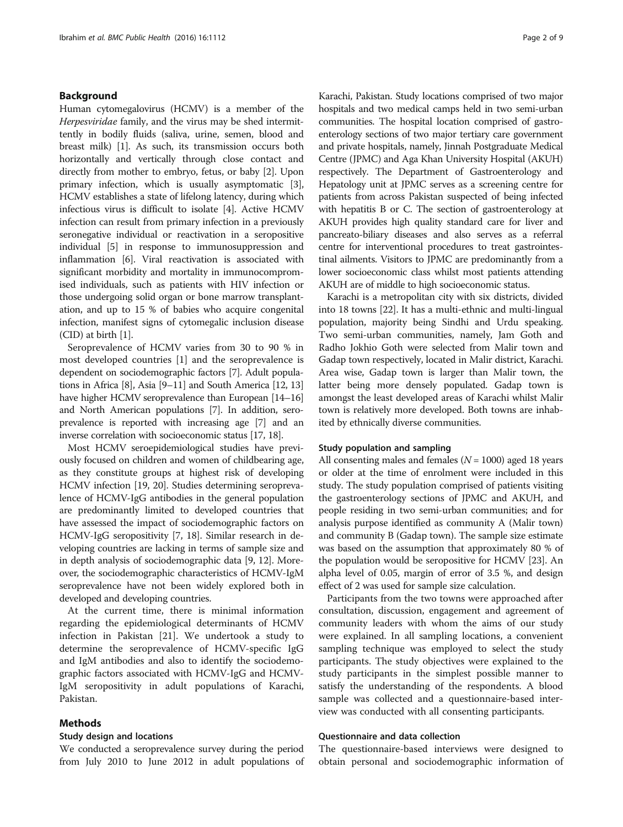# Background

Human cytomegalovirus (HCMV) is a member of the Herpesviridae family, and the virus may be shed intermittently in bodily fluids (saliva, urine, semen, blood and breast milk) [[1\]](#page-7-0). As such, its transmission occurs both horizontally and vertically through close contact and directly from mother to embryo, fetus, or baby [[2](#page-7-0)]. Upon primary infection, which is usually asymptomatic [[3](#page-7-0)], HCMV establishes a state of lifelong latency, during which infectious virus is difficult to isolate [\[4](#page-7-0)]. Active HCMV infection can result from primary infection in a previously seronegative individual or reactivation in a seropositive individual [\[5](#page-7-0)] in response to immunosuppression and inflammation [[6](#page-7-0)]. Viral reactivation is associated with significant morbidity and mortality in immunocompromised individuals, such as patients with HIV infection or those undergoing solid organ or bone marrow transplantation, and up to 15 % of babies who acquire congenital infection, manifest signs of cytomegalic inclusion disease (CID) at birth [\[1](#page-7-0)].

Seroprevalence of HCMV varies from 30 to 90 % in most developed countries [\[1](#page-7-0)] and the seroprevalence is dependent on sociodemographic factors [[7](#page-7-0)]. Adult populations in Africa [\[8\]](#page-7-0), Asia [[9](#page-7-0)–[11\]](#page-7-0) and South America [[12](#page-7-0), [13](#page-7-0)] have higher HCMV seroprevalence than European [[14](#page-7-0)–[16](#page-7-0)] and North American populations [\[7\]](#page-7-0). In addition, seroprevalence is reported with increasing age [[7\]](#page-7-0) and an inverse correlation with socioeconomic status [\[17, 18\]](#page-7-0).

Most HCMV seroepidemiological studies have previously focused on children and women of childbearing age, as they constitute groups at highest risk of developing HCMV infection [\[19, 20\]](#page-8-0). Studies determining seroprevalence of HCMV-IgG antibodies in the general population are predominantly limited to developed countries that have assessed the impact of sociodemographic factors on HCMV-IgG seropositivity [[7, 18](#page-7-0)]. Similar research in developing countries are lacking in terms of sample size and in depth analysis of sociodemographic data [\[9](#page-7-0), [12\]](#page-7-0). Moreover, the sociodemographic characteristics of HCMV-IgM seroprevalence have not been widely explored both in developed and developing countries.

At the current time, there is minimal information regarding the epidemiological determinants of HCMV infection in Pakistan [\[21](#page-8-0)]. We undertook a study to determine the seroprevalence of HCMV-specific IgG and IgM antibodies and also to identify the sociodemographic factors associated with HCMV-IgG and HCMV-IgM seropositivity in adult populations of Karachi, Pakistan.

# Methods

# Study design and locations

We conducted a seroprevalence survey during the period from July 2010 to June 2012 in adult populations of

Karachi, Pakistan. Study locations comprised of two major hospitals and two medical camps held in two semi-urban communities. The hospital location comprised of gastroenterology sections of two major tertiary care government and private hospitals, namely, Jinnah Postgraduate Medical Centre (JPMC) and Aga Khan University Hospital (AKUH) respectively. The Department of Gastroenterology and Hepatology unit at JPMC serves as a screening centre for patients from across Pakistan suspected of being infected with hepatitis B or C. The section of gastroenterology at AKUH provides high quality standard care for liver and pancreato-biliary diseases and also serves as a referral centre for interventional procedures to treat gastrointestinal ailments. Visitors to JPMC are predominantly from a lower socioeconomic class whilst most patients attending AKUH are of middle to high socioeconomic status.

Karachi is a metropolitan city with six districts, divided into 18 towns [\[22\]](#page-8-0). It has a multi-ethnic and multi-lingual population, majority being Sindhi and Urdu speaking. Two semi-urban communities, namely, Jam Goth and Radho Jokhio Goth were selected from Malir town and Gadap town respectively, located in Malir district, Karachi. Area wise, Gadap town is larger than Malir town, the latter being more densely populated. Gadap town is amongst the least developed areas of Karachi whilst Malir town is relatively more developed. Both towns are inhabited by ethnically diverse communities.

# Study population and sampling

All consenting males and females  $(N = 1000)$  aged 18 years or older at the time of enrolment were included in this study. The study population comprised of patients visiting the gastroenterology sections of JPMC and AKUH, and people residing in two semi-urban communities; and for analysis purpose identified as community A (Malir town) and community B (Gadap town). The sample size estimate was based on the assumption that approximately 80 % of the population would be seropositive for HCMV [\[23\]](#page-8-0). An alpha level of 0.05, margin of error of 3.5 %, and design effect of 2 was used for sample size calculation.

Participants from the two towns were approached after consultation, discussion, engagement and agreement of community leaders with whom the aims of our study were explained. In all sampling locations, a convenient sampling technique was employed to select the study participants. The study objectives were explained to the study participants in the simplest possible manner to satisfy the understanding of the respondents. A blood sample was collected and a questionnaire-based interview was conducted with all consenting participants.

# Questionnaire and data collection

The questionnaire-based interviews were designed to obtain personal and sociodemographic information of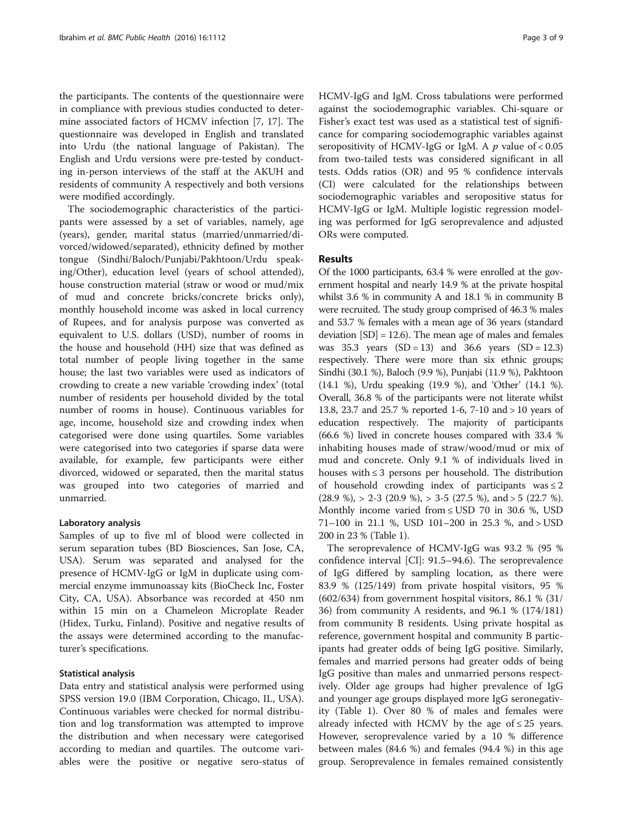the participants. The contents of the questionnaire were in compliance with previous studies conducted to determine associated factors of HCMV infection [[7, 17](#page-7-0)]. The questionnaire was developed in English and translated into Urdu (the national language of Pakistan). The English and Urdu versions were pre-tested by conducting in-person interviews of the staff at the AKUH and residents of community A respectively and both versions were modified accordingly.

The sociodemographic characteristics of the participants were assessed by a set of variables, namely, age (years), gender, marital status (married/unmarried/divorced/widowed/separated), ethnicity defined by mother tongue (Sindhi/Baloch/Punjabi/Pakhtoon/Urdu speaking/Other), education level (years of school attended), house construction material (straw or wood or mud/mix of mud and concrete bricks/concrete bricks only), monthly household income was asked in local currency of Rupees, and for analysis purpose was converted as equivalent to U.S. dollars (USD), number of rooms in the house and household (HH) size that was defined as total number of people living together in the same house; the last two variables were used as indicators of crowding to create a new variable 'crowding index' (total number of residents per household divided by the total number of rooms in house). Continuous variables for age, income, household size and crowding index when categorised were done using quartiles. Some variables were categorised into two categories if sparse data were available, for example, few participants were either divorced, widowed or separated, then the marital status was grouped into two categories of married and unmarried.

### Laboratory analysis

Samples of up to five ml of blood were collected in serum separation tubes (BD Biosciences, San Jose, CA, USA). Serum was separated and analysed for the presence of HCMV-IgG or IgM in duplicate using commercial enzyme immunoassay kits (BioCheck Inc, Foster City, CA, USA). Absorbance was recorded at 450 nm within 15 min on a Chameleon Microplate Reader (Hidex, Turku, Finland). Positive and negative results of the assays were determined according to the manufacturer's specifications.

# Statistical analysis

Data entry and statistical analysis were performed using SPSS version 19.0 (IBM Corporation, Chicago, IL, USA). Continuous variables were checked for normal distribution and log transformation was attempted to improve the distribution and when necessary were categorised according to median and quartiles. The outcome variables were the positive or negative sero-status of HCMV-IgG and IgM. Cross tabulations were performed against the sociodemographic variables. Chi-square or Fisher's exact test was used as a statistical test of significance for comparing sociodemographic variables against seropositivity of HCMV-IgG or IgM. A  $p$  value of < 0.05 from two-tailed tests was considered significant in all tests. Odds ratios (OR) and 95 % confidence intervals (CI) were calculated for the relationships between sociodemographic variables and seropositive status for HCMV-IgG or IgM. Multiple logistic regression modeling was performed for IgG seroprevalence and adjusted ORs were computed.

# Results

Of the 1000 participants, 63.4 % were enrolled at the government hospital and nearly 14.9 % at the private hospital whilst 3.6 % in community A and 18.1 % in community B were recruited. The study group comprised of 46.3 % males and 53.7 % females with a mean age of 36 years (standard deviation  $[SD] = 12.6$ . The mean age of males and females was  $35.3$  years  $(SD = 13)$  and  $36.6$  years  $(SD = 12.3)$ respectively. There were more than six ethnic groups; Sindhi (30.1 %), Baloch (9.9 %), Punjabi (11.9 %), Pakhtoon (14.1 %), Urdu speaking (19.9 %), and 'Other' (14.1 %). Overall, 36.8 % of the participants were not literate whilst 13.8, 23.7 and 25.7 % reported 1-6, 7-10 and > 10 years of education respectively. The majority of participants (66.6 %) lived in concrete houses compared with 33.4 % inhabiting houses made of straw/wood/mud or mix of mud and concrete. Only 9.1 % of individuals lived in houses with  $\leq$  3 persons per household. The distribution of household crowding index of participants was  $\leq 2$  $(28.9 \%)$ , > 2-3  $(20.9 \%)$ , > 3-5  $(27.5 \%)$ , and > 5  $(22.7 \%)$ . Monthly income varied from  $\leq$  USD 70 in 30.6 %, USD 71–100 in 21.1 %, USD 101–200 in 25.3 %, and > USD 200 in 23 % (Table [1](#page-3-0)).

The seroprevalence of HCMV-IgG was 93.2 % (95 % confidence interval [CI]: 91.5–94.6). The seroprevalence of IgG differed by sampling location, as there were 83.9 % (125/149) from private hospital visitors, 95 % (602/634) from government hospital visitors, 86.1 % (31/ 36) from community A residents, and 96.1 % (174/181) from community B residents. Using private hospital as reference, government hospital and community B participants had greater odds of being IgG positive. Similarly, females and married persons had greater odds of being IgG positive than males and unmarried persons respectively. Older age groups had higher prevalence of IgG and younger age groups displayed more IgG seronegativity (Table [1](#page-3-0)). Over 80 % of males and females were already infected with HCMV by the age of  $\leq 25$  years. However, seroprevalence varied by a 10 % difference between males (84.6 %) and females (94.4 %) in this age group. Seroprevalence in females remained consistently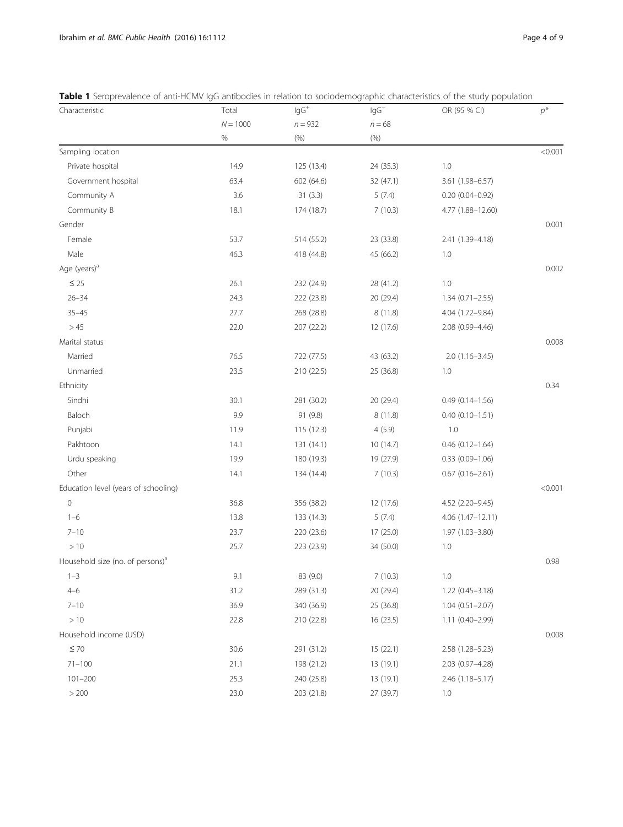<span id="page-3-0"></span>

|  |  |  | Table 1 Seroprevalence of anti-HCMV IgG antibodies in relation to sociodemographic characteristics of the study population |  |
|--|--|--|----------------------------------------------------------------------------------------------------------------------------|--|
|--|--|--|----------------------------------------------------------------------------------------------------------------------------|--|

| Characteristic                               | Total      | $lgG$ <sup>+</sup> | $lgG^-$   | OR (95 % CI)        | $p^*$   |
|----------------------------------------------|------------|--------------------|-----------|---------------------|---------|
|                                              | $N = 1000$ | $n = 932$          | $n = 68$  |                     |         |
|                                              | $\%$       | $(\% )$            | (% )      |                     |         |
| Sampling location                            |            |                    |           |                     | < 0.001 |
| Private hospital                             | 14.9       | 125 (13.4)         | 24 (35.3) | 1.0                 |         |
| Government hospital                          | 63.4       | 602 (64.6)         | 32 (47.1) | 3.61 (1.98-6.57)    |         |
| Community A                                  | 3.6        | 31(3.3)            | 5(7.4)    | $0.20(0.04 - 0.92)$ |         |
| Community B                                  | 18.1       | 174 (18.7)         | 7(10.3)   | 4.77 (1.88-12.60)   |         |
| Gender                                       |            |                    |           |                     | 0.001   |
| Female                                       | 53.7       | 514 (55.2)         | 23 (33.8) | 2.41 (1.39-4.18)    |         |
| Male                                         | 46.3       | 418 (44.8)         | 45 (66.2) | $1.0\,$             |         |
| Age (years) <sup>a</sup>                     |            |                    |           |                     | 0.002   |
| $\leq 25$                                    | 26.1       | 232 (24.9)         | 28 (41.2) | $1.0\,$             |         |
| $26 - 34$                                    | 24.3       | 222 (23.8)         | 20 (29.4) | $1.34(0.71 - 2.55)$ |         |
| $35 - 45$                                    | 27.7       | 268 (28.8)         | 8 (11.8)  | 4.04 (1.72-9.84)    |         |
| >45                                          | 22.0       | 207 (22.2)         | 12 (17.6) | 2.08 (0.99-4.46)    |         |
| Marital status                               |            |                    |           |                     | 0.008   |
| Married                                      | 76.5       | 722 (77.5)         | 43 (63.2) | $2.0(1.16 - 3.45)$  |         |
| Unmarried                                    | 23.5       | 210 (22.5)         | 25 (36.8) | 1.0                 |         |
| Ethnicity                                    |            |                    |           |                     | 0.34    |
| Sindhi                                       | 30.1       | 281 (30.2)         | 20 (29.4) | $0.49(0.14 - 1.56)$ |         |
| Baloch                                       | 9.9        | 91 (9.8)           | 8(11.8)   | $0.40(0.10 - 1.51)$ |         |
| Punjabi                                      | 11.9       | 115 (12.3)         | 4(5.9)    | 1.0                 |         |
| Pakhtoon                                     | 14.1       | 131 (14.1)         | 10 (14.7) | $0.46(0.12 - 1.64)$ |         |
| Urdu speaking                                | 19.9       | 180 (19.3)         | 19 (27.9) | $0.33(0.09 - 1.06)$ |         |
| Other                                        | 14.1       | 134 (14.4)         | 7(10.3)   | $0.67(0.16 - 2.61)$ |         |
| Education level (years of schooling)         |            |                    |           |                     | < 0.001 |
| $\mathbf 0$                                  | 36.8       | 356 (38.2)         | 12 (17.6) | 4.52 (2.20-9.45)    |         |
| $1 - 6$                                      | 13.8       | 133 (14.3)         | 5(7.4)    | 4.06 (1.47-12.11)   |         |
| $7 - 10$                                     | 23.7       | 220 (23.6)         | 17 (25.0) | 1.97 (1.03-3.80)    |         |
| >10                                          | 25.7       | 223 (23.9)         | 34 (50.0) | $1.0\,$             |         |
| Household size (no. of persons) <sup>a</sup> |            |                    |           |                     | 0.98    |
| $1 - 3$                                      | 9.1        | 83 (9.0)           | 7(10.3)   | $1.0\,$             |         |
| $4 - 6$                                      | 31.2       | 289 (31.3)         | 20 (29.4) | $1.22(0.45 - 3.18)$ |         |
| $7 - 10$                                     | 36.9       | 340 (36.9)         | 25 (36.8) | $1.04(0.51 - 2.07)$ |         |
| >10                                          | 22.8       | 210 (22.8)         | 16(23.5)  | 1.11 (0.40-2.99)    |         |
| Household income (USD)                       |            |                    |           |                     | 0.008   |
| $\leq 70$                                    | 30.6       | 291 (31.2)         | 15 (22.1) | 2.58 (1.28-5.23)    |         |
| $71 - 100$                                   | 21.1       | 198 (21.2)         | 13(19.1)  | 2.03 (0.97-4.28)    |         |
| $101 - 200$                                  | 25.3       | 240 (25.8)         | 13(19.1)  | 2.46 (1.18-5.17)    |         |
| > 200                                        | 23.0       | 203 (21.8)         | 27 (39.7) | 1.0                 |         |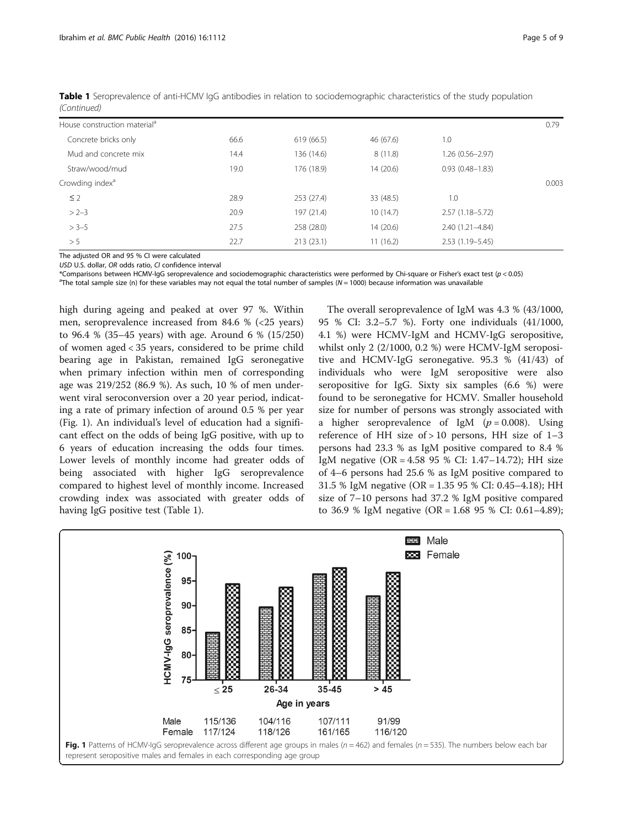| House construction material <sup>a</sup> |      |            |           |                     | 0.79  |
|------------------------------------------|------|------------|-----------|---------------------|-------|
| Concrete bricks only                     | 66.6 | 619(66.5)  | 46 (67.6) | 1.0                 |       |
| Mud and concrete mix                     | 14.4 | 136 (14.6) | 8(11.8)   | $1.26(0.56 - 2.97)$ |       |
| Straw/wood/mud                           | 19.0 | 176 (18.9) | 14(20.6)  | $0.93(0.48 - 1.83)$ |       |
| Crowding index <sup>a</sup>              |      |            |           |                     | 0.003 |
| $\leq$ 2                                 | 28.9 | 253 (27.4) | 33 (48.5) | 1.0                 |       |
| $> 2 - 3$                                | 20.9 | 197 (21.4) | 10(14.7)  | $2.57(1.18 - 5.72)$ |       |
| $> 3 - 5$                                | 27.5 | 258 (28.0) | 14 (20.6) | $2.40(1.21 - 4.84)$ |       |
| > 5                                      | 22.7 | 213(23.1)  | 11(16.2)  | $2.53(1.19 - 5.45)$ |       |

Table 1 Seroprevalence of anti-HCMV IgG antibodies in relation to sociodemographic characteristics of the study population (Continued)

The adjusted OR and 95 % CI were calculated USD U.S. dollar, OR odds ratio, CI confidence interval

\*Comparisons between HCMV-IgG seroprevalence and sociodemographic characteristics were performed by Chi-square or Fisher's exact test (<sup>p</sup> < 0.05) <sup>a</sup>

 $a$ The total sample size (n) for these variables may not equal the total number of samples ( $N = 1000$ ) because information was unavailable

high during ageing and peaked at over 97 %. Within men, seroprevalence increased from 84.6 % (<25 years) to 96.4 % (35–45 years) with age. Around 6 % (15/250) of women aged < 35 years, considered to be prime child bearing age in Pakistan, remained IgG seronegative when primary infection within men of corresponding age was 219/252 (86.9 %). As such, 10 % of men underwent viral seroconversion over a 20 year period, indicating a rate of primary infection of around 0.5 % per year (Fig. 1). An individual's level of education had a significant effect on the odds of being IgG positive, with up to 6 years of education increasing the odds four times. Lower levels of monthly income had greater odds of being associated with higher IgG seroprevalence compared to highest level of monthly income. Increased crowding index was associated with greater odds of having IgG positive test (Table [1\)](#page-3-0).

The overall seroprevalence of IgM was 4.3 % (43/1000, 95 % CI: 3.2–5.7 %). Forty one individuals (41/1000, 4.1 %) were HCMV-IgM and HCMV-IgG seropositive, whilst only 2 (2/1000, 0.2 %) were HCMV-IgM seropositive and HCMV-IgG seronegative. 95.3 % (41/43) of individuals who were IgM seropositive were also seropositive for IgG. Sixty six samples (6.6 %) were found to be seronegative for HCMV. Smaller household size for number of persons was strongly associated with a higher seroprevalence of IgM  $(p = 0.008)$ . Using reference of HH size of  $> 10$  persons, HH size of  $1-3$ persons had 23.3 % as IgM positive compared to 8.4 % IgM negative (OR = 4.58 95 % CI: 1.47–14.72); HH size of 4–6 persons had 25.6 % as IgM positive compared to 31.5 % IgM negative (OR = 1.35 95 % CI: 0.45–4.18); HH size of 7–10 persons had 37.2 % IgM positive compared to 36.9 % IgM negative  $(OR = 1.68 95 % CI: 0.61–4.89);$ 

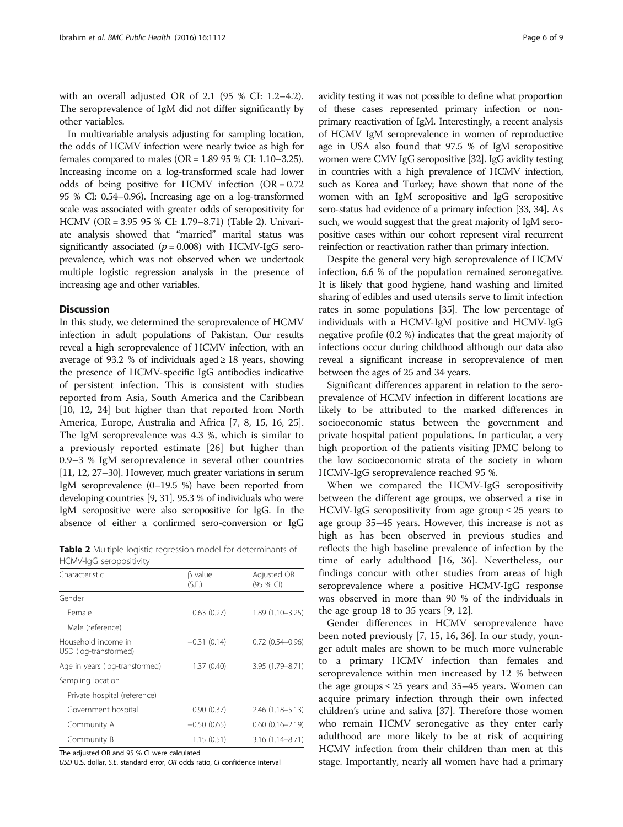with an overall adjusted OR of 2.1 (95 % CI: 1.2–4.2). The seroprevalence of IgM did not differ significantly by other variables.

In multivariable analysis adjusting for sampling location, the odds of HCMV infection were nearly twice as high for females compared to males (OR = 1.89 95 % CI: 1.10–3.25). Increasing income on a log-transformed scale had lower odds of being positive for HCMV infection (OR = 0.72 95 % CI: 0.54–0.96). Increasing age on a log-transformed scale was associated with greater odds of seropositivity for HCMV (OR = 3.95 95 % CI: 1.79–8.71) (Table 2). Univariate analysis showed that "married" marital status was significantly associated ( $p = 0.008$ ) with HCMV-IgG seroprevalence, which was not observed when we undertook multiple logistic regression analysis in the presence of increasing age and other variables.

# **Discussion**

In this study, we determined the seroprevalence of HCMV infection in adult populations of Pakistan. Our results reveal a high seroprevalence of HCMV infection, with an average of 93.2 % of individuals aged  $\geq$  18 years, showing the presence of HCMV-specific IgG antibodies indicative of persistent infection. This is consistent with studies reported from Asia, South America and the Caribbean [[10](#page-7-0), [12](#page-7-0), [24\]](#page-8-0) but higher than that reported from North America, Europe, Australia and Africa [\[7](#page-7-0), [8](#page-7-0), [15, 16,](#page-7-0) [25](#page-8-0)]. The IgM seroprevalence was 4.3 %, which is similar to a previously reported estimate [[26\]](#page-8-0) but higher than 0.9–3 % IgM seroprevalence in several other countries [[11](#page-7-0), [12](#page-7-0), [27](#page-8-0)–[30\]](#page-8-0). However, much greater variations in serum IgM seroprevalence (0–19.5 %) have been reported from developing countries [\[9,](#page-7-0) [31](#page-8-0)]. 95.3 % of individuals who were IgM seropositive were also seropositive for IgG. In the absence of either a confirmed sero-conversion or IgG

Table 2 Multiple logistic regression model for determinants of HCMV-IgG seropositivity

| Characteristic                               | β value<br>(S.E.) | Adjusted OR<br>(95 % CI) |
|----------------------------------------------|-------------------|--------------------------|
| Gender                                       |                   |                          |
| Female                                       | 0.63(0.27)        | $1.89(1.10 - 3.25)$      |
| Male (reference)                             |                   |                          |
| Household income in<br>USD (log-transformed) | $-0.31(0.14)$     | $0.72(0.54 - 0.96)$      |
| Age in years (log-transformed)               | 1.37(0.40)        | 3.95 (1.79-8.71)         |
| Sampling location                            |                   |                          |
| Private hospital (reference)                 |                   |                          |
| Government hospital                          | 0.90(0.37)        | 2.46 (1.18–5.13)         |
| Community A                                  | $-0.50(0.65)$     | $0.60(0.16 - 2.19)$      |
| Community B                                  | 1.15(0.51)        | $3.16(1.14 - 8.71)$      |

The adjusted OR and 95 % CI were calculated

USD U.S. dollar, S.E. standard error, OR odds ratio, CI confidence interval

avidity testing it was not possible to define what proportion of these cases represented primary infection or nonprimary reactivation of IgM. Interestingly, a recent analysis of HCMV IgM seroprevalence in women of reproductive age in USA also found that 97.5 % of IgM seropositive women were CMV IgG seropositive [[32\]](#page-8-0). IgG avidity testing in countries with a high prevalence of HCMV infection, such as Korea and Turkey; have shown that none of the women with an IgM seropositive and IgG seropositive sero-status had evidence of a primary infection [\[33, 34\]](#page-8-0). As such, we would suggest that the great majority of IgM seropositive cases within our cohort represent viral recurrent reinfection or reactivation rather than primary infection.

Despite the general very high seroprevalence of HCMV infection, 6.6 % of the population remained seronegative. It is likely that good hygiene, hand washing and limited sharing of edibles and used utensils serve to limit infection rates in some populations [[35](#page-8-0)]. The low percentage of individuals with a HCMV-IgM positive and HCMV-IgG negative profile (0.2 %) indicates that the great majority of infections occur during childhood although our data also reveal a significant increase in seroprevalence of men between the ages of 25 and 34 years.

Significant differences apparent in relation to the seroprevalence of HCMV infection in different locations are likely to be attributed to the marked differences in socioeconomic status between the government and private hospital patient populations. In particular, a very high proportion of the patients visiting JPMC belong to the low socioeconomic strata of the society in whom HCMV-IgG seroprevalence reached 95 %.

When we compared the HCMV-IgG seropositivity between the different age groups, we observed a rise in HCMV-IgG seropositivity from age group  $\leq 25$  years to age group 35–45 years. However, this increase is not as high as has been observed in previous studies and reflects the high baseline prevalence of infection by the time of early adulthood [\[16](#page-7-0), [36](#page-8-0)]. Nevertheless, our findings concur with other studies from areas of high seroprevalence where a positive HCMV-IgG response was observed in more than 90 % of the individuals in the age group 18 to 35 years [\[9](#page-7-0), [12](#page-7-0)].

Gender differences in HCMV seroprevalence have been noted previously [\[7, 15, 16,](#page-7-0) [36\]](#page-8-0). In our study, younger adult males are shown to be much more vulnerable to a primary HCMV infection than females and seroprevalence within men increased by 12 % between the age groups  $\leq 25$  years and 35–45 years. Women can acquire primary infection through their own infected children's urine and saliva [\[37\]](#page-8-0). Therefore those women who remain HCMV seronegative as they enter early adulthood are more likely to be at risk of acquiring HCMV infection from their children than men at this stage. Importantly, nearly all women have had a primary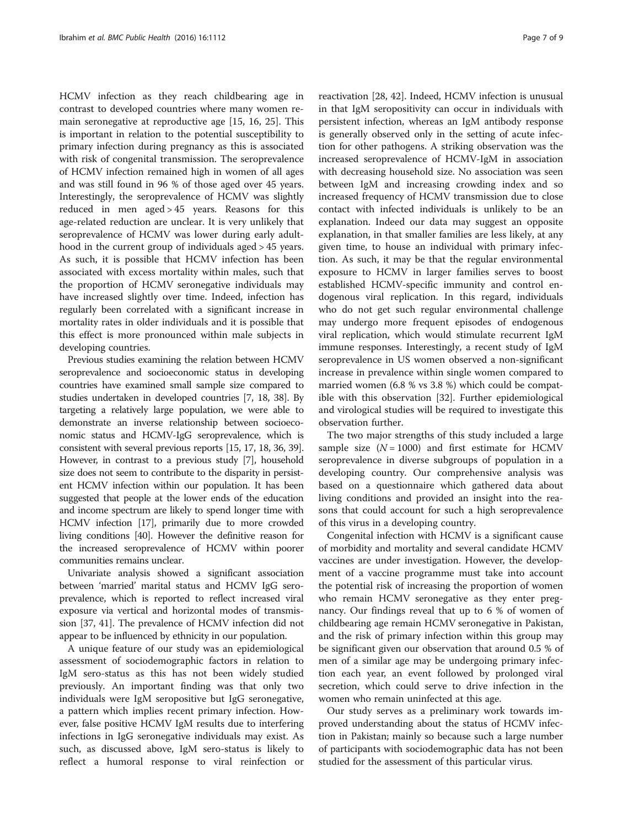HCMV infection as they reach childbearing age in contrast to developed countries where many women remain seronegative at reproductive age [\[15](#page-7-0), [16,](#page-7-0) [25](#page-8-0)]. This is important in relation to the potential susceptibility to primary infection during pregnancy as this is associated with risk of congenital transmission. The seroprevalence of HCMV infection remained high in women of all ages and was still found in 96 % of those aged over 45 years. Interestingly, the seroprevalence of HCMV was slightly reduced in men aged > 45 years. Reasons for this age-related reduction are unclear. It is very unlikely that seroprevalence of HCMV was lower during early adulthood in the current group of individuals aged > 45 years. As such, it is possible that HCMV infection has been associated with excess mortality within males, such that the proportion of HCMV seronegative individuals may have increased slightly over time. Indeed, infection has regularly been correlated with a significant increase in mortality rates in older individuals and it is possible that this effect is more pronounced within male subjects in developing countries.

Previous studies examining the relation between HCMV seroprevalence and socioeconomic status in developing countries have examined small sample size compared to studies undertaken in developed countries [[7](#page-7-0), [18,](#page-7-0) [38](#page-8-0)]. By targeting a relatively large population, we were able to demonstrate an inverse relationship between socioeconomic status and HCMV-IgG seroprevalence, which is consistent with several previous reports [[15](#page-7-0), [17, 18,](#page-7-0) [36](#page-8-0), [39](#page-8-0)]. However, in contrast to a previous study [\[7\]](#page-7-0), household size does not seem to contribute to the disparity in persistent HCMV infection within our population. It has been suggested that people at the lower ends of the education and income spectrum are likely to spend longer time with HCMV infection [\[17\]](#page-7-0), primarily due to more crowded living conditions [[40](#page-8-0)]. However the definitive reason for the increased seroprevalence of HCMV within poorer communities remains unclear.

Univariate analysis showed a significant association between 'married' marital status and HCMV IgG seroprevalence, which is reported to reflect increased viral exposure via vertical and horizontal modes of transmission [[37](#page-8-0), [41](#page-8-0)]. The prevalence of HCMV infection did not appear to be influenced by ethnicity in our population.

A unique feature of our study was an epidemiological assessment of sociodemographic factors in relation to IgM sero-status as this has not been widely studied previously. An important finding was that only two individuals were IgM seropositive but IgG seronegative, a pattern which implies recent primary infection. However, false positive HCMV IgM results due to interfering infections in IgG seronegative individuals may exist. As such, as discussed above, IgM sero-status is likely to reflect a humoral response to viral reinfection or

reactivation [[28, 42\]](#page-8-0). Indeed, HCMV infection is unusual in that IgM seropositivity can occur in individuals with persistent infection, whereas an IgM antibody response is generally observed only in the setting of acute infection for other pathogens. A striking observation was the increased seroprevalence of HCMV-IgM in association with decreasing household size. No association was seen between IgM and increasing crowding index and so increased frequency of HCMV transmission due to close contact with infected individuals is unlikely to be an explanation. Indeed our data may suggest an opposite explanation, in that smaller families are less likely, at any given time, to house an individual with primary infection. As such, it may be that the regular environmental exposure to HCMV in larger families serves to boost established HCMV-specific immunity and control endogenous viral replication. In this regard, individuals who do not get such regular environmental challenge may undergo more frequent episodes of endogenous viral replication, which would stimulate recurrent IgM immune responses. Interestingly, a recent study of IgM seroprevalence in US women observed a non-significant increase in prevalence within single women compared to married women (6.8 % vs 3.8 %) which could be compatible with this observation [\[32\]](#page-8-0). Further epidemiological and virological studies will be required to investigate this

The two major strengths of this study included a large sample size  $(N = 1000)$  and first estimate for HCMV seroprevalence in diverse subgroups of population in a developing country. Our comprehensive analysis was based on a questionnaire which gathered data about living conditions and provided an insight into the reasons that could account for such a high seroprevalence of this virus in a developing country.

observation further.

Congenital infection with HCMV is a significant cause of morbidity and mortality and several candidate HCMV vaccines are under investigation. However, the development of a vaccine programme must take into account the potential risk of increasing the proportion of women who remain HCMV seronegative as they enter pregnancy. Our findings reveal that up to 6 % of women of childbearing age remain HCMV seronegative in Pakistan, and the risk of primary infection within this group may be significant given our observation that around 0.5 % of men of a similar age may be undergoing primary infection each year, an event followed by prolonged viral secretion, which could serve to drive infection in the women who remain uninfected at this age.

Our study serves as a preliminary work towards improved understanding about the status of HCMV infection in Pakistan; mainly so because such a large number of participants with sociodemographic data has not been studied for the assessment of this particular virus.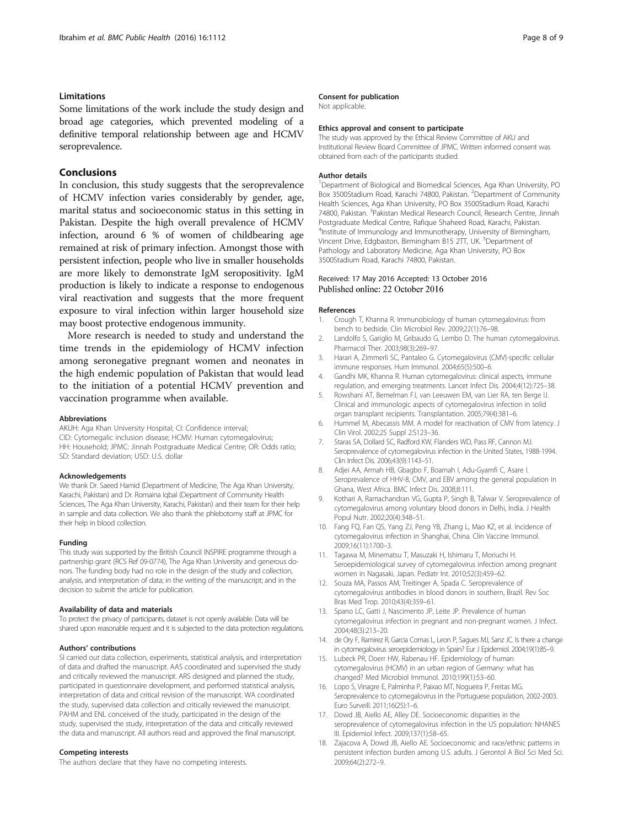# <span id="page-7-0"></span>Limitations

Some limitations of the work include the study design and broad age categories, which prevented modeling of a definitive temporal relationship between age and HCMV seroprevalence.

# Conclusions

In conclusion, this study suggests that the seroprevalence of HCMV infection varies considerably by gender, age, marital status and socioeconomic status in this setting in Pakistan. Despite the high overall prevalence of HCMV infection, around 6 % of women of childbearing age remained at risk of primary infection. Amongst those with persistent infection, people who live in smaller households are more likely to demonstrate IgM seropositivity. IgM production is likely to indicate a response to endogenous viral reactivation and suggests that the more frequent exposure to viral infection within larger household size may boost protective endogenous immunity.

More research is needed to study and understand the time trends in the epidemiology of HCMV infection among seronegative pregnant women and neonates in the high endemic population of Pakistan that would lead to the initiation of a potential HCMV prevention and vaccination programme when available.

#### Abbreviations

AKUH: Aga Khan University Hospital; CI: Confidence interval; CID: Cytomegalic inclusion disease; HCMV: Human cytomegalovirus; HH: Household; JPMC: Jinnah Postgraduate Medical Centre; OR: Odds ratio; SD: Standard deviation; USD: U.S. dollar

#### Acknowledgements

We thank Dr. Saeed Hamid (Department of Medicine, The Aga Khan University, Karachi, Pakistan) and Dr. Romaina Iqbal (Department of Community Health Sciences, The Aga Khan University, Karachi, Pakistan) and their team for their help in sample and data collection. We also thank the phlebotomy staff at JPMC for their help in blood collection.

#### Funding

This study was supported by the British Council INSPIRE programme through a partnership grant (RCS Ref 09-0774), The Aga Khan University and generous donors. The funding body had no role in the design of the study and collection, analysis, and interpretation of data; in the writing of the manuscript; and in the decision to submit the article for publication.

#### Availability of data and materials

To protect the privacy of participants, dataset is not openly available. Data will be shared upon reasonable request and it is subjected to the data protection regulations.

#### Authors' contributions

SI carried out data collection, experiments, statistical analysis, and interpretation of data and drafted the manuscript. AAS coordinated and supervised the study and critically reviewed the manuscript. ARS designed and planned the study, participated in questionnaire development, and performed statistical analysis, interpretation of data and critical revision of the manuscript. WA coordinated the study, supervised data collection and critically reviewed the manuscript. PAHM and ENL conceived of the study, participated in the design of the study, supervised the study, interpretation of the data and critically reviewed the data and manuscript. All authors read and approved the final manuscript.

# Competing interests

The authors declare that they have no competing interests.

#### Consent for publication

Not applicable.

#### Ethics approval and consent to participate

The study was approved by the Ethical Review Committee of AKU and Institutional Review Board Committee of JPMC. Written informed consent was obtained from each of the participants studied.

#### Author details

<sup>1</sup>Department of Biological and Biomedical Sciences, Aga Khan University, PO Box 3500Stadium Road, Karachi 74800, Pakistan. <sup>2</sup>Department of Community Health Sciences, Aga Khan University, PO Box 3500Stadium Road, Karachi 74800, Pakistan. <sup>3</sup>Pakistan Medical Research Council, Research Centre, Jinnah Postgraduate Medical Centre, Rafique Shaheed Road, Karachi, Pakistan. 4 Institute of Immunology and Immunotherapy, University of Birmingham, Vincent Drive, Edgbaston, Birmingham B15 2TT, UK. <sup>5</sup>Department of Pathology and Laboratory Medicine, Aga Khan University, PO Box 3500Stadium Road, Karachi 74800, Pakistan.

### Received: 17 May 2016 Accepted: 13 October 2016 Published online: 22 October 2016

#### References

- 1. Crough T, Khanna R. Immunobiology of human cytomegalovirus: from bench to bedside. Clin Microbiol Rev. 2009;22(1):76–98.
- 2. Landolfo S, Gariglio M, Gribaudo G, Lembo D. The human cytomegalovirus. Pharmacol Ther. 2003;98(3):269–97.
- 3. Harari A, Zimmerli SC, Pantaleo G. Cytomegalovirus (CMV)-specific cellular immune responses. Hum Immunol. 2004;65(5):500–6.
- 4. Gandhi MK, Khanna R. Human cytomegalovirus: clinical aspects, immune regulation, and emerging treatments. Lancet Infect Dis. 2004;4(12):725–38.
- 5. Rowshani AT, Bemelman FJ, van Leeuwen EM, van Lier RA, ten Berge IJ. Clinical and immunologic aspects of cytomegalovirus infection in solid organ transplant recipients. Transplantation. 2005;79(4):381–6.
- 6. Hummel M, Abecassis MM. A model for reactivation of CMV from latency. J Clin Virol. 2002;25 Suppl 2:S123–36.
- 7. Staras SA, Dollard SC, Radford KW, Flanders WD, Pass RF, Cannon MJ. Seroprevalence of cytomegalovirus infection in the United States, 1988-1994. Clin Infect Dis. 2006;43(9):1143–51.
- 8. Adjei AA, Armah HB, Gbagbo F, Boamah I, Adu-Gyamfi C, Asare I. Seroprevalence of HHV-8, CMV, and EBV among the general population in Ghana, West Africa. BMC Infect Dis. 2008;8:111.
- 9. Kothari A, Ramachandran VG, Gupta P, Singh B, Talwar V. Seroprevalence of cytomegalovirus among voluntary blood donors in Delhi, India. J Health Popul Nutr. 2002;20(4):348–51.
- 10. Fang FQ, Fan QS, Yang ZJ, Peng YB, Zhang L, Mao KZ, et al. Incidence of cytomegalovirus infection in Shanghai, China. Clin Vaccine Immunol. 2009;16(11):1700–3.
- 11. Tagawa M, Minematsu T, Masuzaki H, Ishimaru T, Moriuchi H. Seroepidemiological survey of cytomegalovirus infection among pregnant women in Nagasaki, Japan. Pediatr Int. 2010;52(3):459–62.
- 12. Souza MA, Passos AM, Treitinger A, Spada C. Seroprevalence of cytomegalovirus antibodies in blood donors in southern, Brazil. Rev Soc Bras Med Trop. 2010;43(4):359–61.
- 13. Spano LC, Gatti J, Nascimento JP, Leite JP. Prevalence of human cytomegalovirus infection in pregnant and non-pregnant women. J Infect. 2004;48(3):213–20.
- 14. de Ory F, Ramirez R, Garcia Comas L, Leon P, Sagues MJ, Sanz JC. Is there a change in cytomegalovirus seroepidemiology in Spain? Eur J Epidemiol. 2004;19(1):85–9.
- 15. Lubeck PR, Doerr HW, Rabenau HF. Epidemiology of human cytomegalovirus (HCMV) in an urban region of Germany: what has changed? Med Microbiol Immunol. 2010;199(1):53–60.
- 16. Lopo S, Vinagre E, Palminha P, Paixao MT, Nogueira P, Freitas MG. Seroprevalence to cytomegalovirus in the Portuguese population, 2002-2003. Euro Surveill. 2011;16(25):1–6.
- 17. Dowd JB, Aiello AE, Alley DE. Socioeconomic disparities in the seroprevalence of cytomegalovirus infection in the US population: NHANES III. Epidemiol Infect. 2009;137(1):58–65.
- 18. Zajacova A, Dowd JB, Aiello AE. Socioeconomic and race/ethnic patterns in persistent infection burden among U.S. adults. J Gerontol A Biol Sci Med Sci. 2009;64(2):272–9.